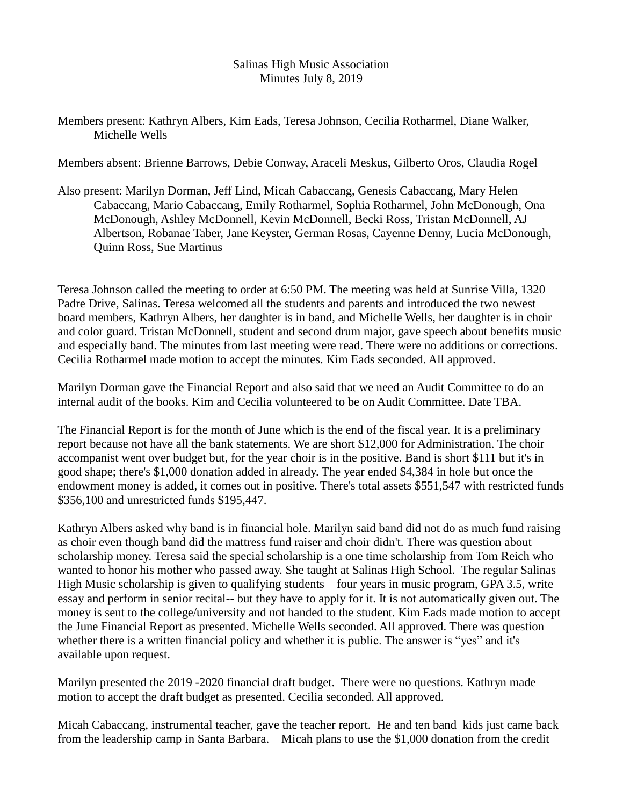## Salinas High Music Association Minutes July 8, 2019

## Members present: Kathryn Albers, Kim Eads, Teresa Johnson, Cecilia Rotharmel, Diane Walker, Michelle Wells

Members absent: Brienne Barrows, Debie Conway, Araceli Meskus, Gilberto Oros, Claudia Rogel

Also present: Marilyn Dorman, Jeff Lind, Micah Cabaccang, Genesis Cabaccang, Mary Helen Cabaccang, Mario Cabaccang, Emily Rotharmel, Sophia Rotharmel, John McDonough, Ona McDonough, Ashley McDonnell, Kevin McDonnell, Becki Ross, Tristan McDonnell, AJ Albertson, Robanae Taber, Jane Keyster, German Rosas, Cayenne Denny, Lucia McDonough, Quinn Ross, Sue Martinus

Teresa Johnson called the meeting to order at 6:50 PM. The meeting was held at Sunrise Villa, 1320 Padre Drive, Salinas. Teresa welcomed all the students and parents and introduced the two newest board members, Kathryn Albers, her daughter is in band, and Michelle Wells, her daughter is in choir and color guard. Tristan McDonnell, student and second drum major, gave speech about benefits music and especially band. The minutes from last meeting were read. There were no additions or corrections. Cecilia Rotharmel made motion to accept the minutes. Kim Eads seconded. All approved.

Marilyn Dorman gave the Financial Report and also said that we need an Audit Committee to do an internal audit of the books. Kim and Cecilia volunteered to be on Audit Committee. Date TBA.

The Financial Report is for the month of June which is the end of the fiscal year. It is a preliminary report because not have all the bank statements. We are short \$12,000 for Administration. The choir accompanist went over budget but, for the year choir is in the positive. Band is short \$111 but it's in good shape; there's \$1,000 donation added in already. The year ended \$4,384 in hole but once the endowment money is added, it comes out in positive. There's total assets \$551,547 with restricted funds \$356,100 and unrestricted funds \$195,447.

Kathryn Albers asked why band is in financial hole. Marilyn said band did not do as much fund raising as choir even though band did the mattress fund raiser and choir didn't. There was question about scholarship money. Teresa said the special scholarship is a one time scholarship from Tom Reich who wanted to honor his mother who passed away. She taught at Salinas High School. The regular Salinas High Music scholarship is given to qualifying students – four years in music program, GPA 3.5, write essay and perform in senior recital-- but they have to apply for it. It is not automatically given out. The money is sent to the college/university and not handed to the student. Kim Eads made motion to accept the June Financial Report as presented. Michelle Wells seconded. All approved. There was question whether there is a written financial policy and whether it is public. The answer is "yes" and it's available upon request.

Marilyn presented the 2019 -2020 financial draft budget. There were no questions. Kathryn made motion to accept the draft budget as presented. Cecilia seconded. All approved.

Micah Cabaccang, instrumental teacher, gave the teacher report. He and ten band kids just came back from the leadership camp in Santa Barbara. Micah plans to use the \$1,000 donation from the credit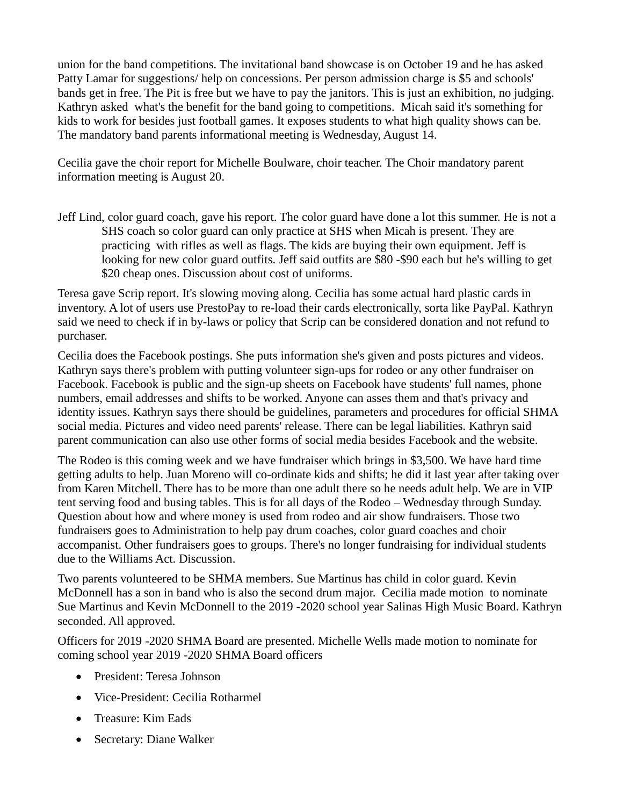union for the band competitions. The invitational band showcase is on October 19 and he has asked Patty Lamar for suggestions/ help on concessions. Per person admission charge is \$5 and schools' bands get in free. The Pit is free but we have to pay the janitors. This is just an exhibition, no judging. Kathryn asked what's the benefit for the band going to competitions. Micah said it's something for kids to work for besides just football games. It exposes students to what high quality shows can be. The mandatory band parents informational meeting is Wednesday, August 14.

Cecilia gave the choir report for Michelle Boulware, choir teacher. The Choir mandatory parent information meeting is August 20.

Jeff Lind, color guard coach, gave his report. The color guard have done a lot this summer. He is not a SHS coach so color guard can only practice at SHS when Micah is present. They are practicing with rifles as well as flags. The kids are buying their own equipment. Jeff is looking for new color guard outfits. Jeff said outfits are \$80 -\$90 each but he's willing to get \$20 cheap ones. Discussion about cost of uniforms.

Teresa gave Scrip report. It's slowing moving along. Cecilia has some actual hard plastic cards in inventory. A lot of users use PrestoPay to re-load their cards electronically, sorta like PayPal. Kathryn said we need to check if in by-laws or policy that Scrip can be considered donation and not refund to purchaser.

Cecilia does the Facebook postings. She puts information she's given and posts pictures and videos. Kathryn says there's problem with putting volunteer sign-ups for rodeo or any other fundraiser on Facebook. Facebook is public and the sign-up sheets on Facebook have students' full names, phone numbers, email addresses and shifts to be worked. Anyone can asses them and that's privacy and identity issues. Kathryn says there should be guidelines, parameters and procedures for official SHMA social media. Pictures and video need parents' release. There can be legal liabilities. Kathryn said parent communication can also use other forms of social media besides Facebook and the website.

The Rodeo is this coming week and we have fundraiser which brings in \$3,500. We have hard time getting adults to help. Juan Moreno will co-ordinate kids and shifts; he did it last year after taking over from Karen Mitchell. There has to be more than one adult there so he needs adult help. We are in VIP tent serving food and busing tables. This is for all days of the Rodeo – Wednesday through Sunday. Question about how and where money is used from rodeo and air show fundraisers. Those two fundraisers goes to Administration to help pay drum coaches, color guard coaches and choir accompanist. Other fundraisers goes to groups. There's no longer fundraising for individual students due to the Williams Act. Discussion.

Two parents volunteered to be SHMA members. Sue Martinus has child in color guard. Kevin McDonnell has a son in band who is also the second drum major. Cecilia made motion to nominate Sue Martinus and Kevin McDonnell to the 2019 -2020 school year Salinas High Music Board. Kathryn seconded. All approved.

Officers for 2019 -2020 SHMA Board are presented. Michelle Wells made motion to nominate for coming school year 2019 -2020 SHMA Board officers

- President: Teresa Johnson
- Vice-President: Cecilia Rotharmel
- Treasure: Kim Eads
- Secretary: Diane Walker